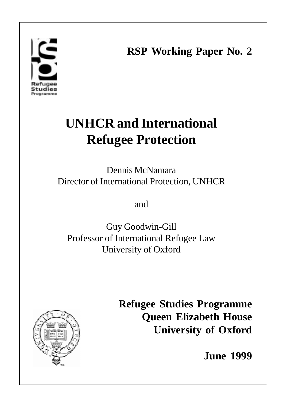# poramme

**RSP Working Paper No. 2**

1

# **UNHCR and International Refugee Protection**

Dennis McNamara Director of International Protection, UNHCR

and

Guy Goodwin-Gill Professor of International Refugee Law University of Oxford



**Refugee Studies Programme Queen Elizabeth House University of Oxford**

**June 1999**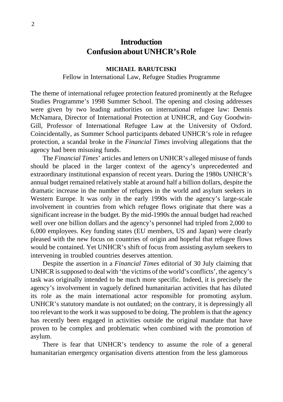## **Introduction Confusion about UNHCR's Role**

### **MICHAEL BARUTCISKI**

Fellow in International Law, Refugee Studies Programme

The theme of international refugee protection featured prominently at the Refugee Studies Programme's 1998 Summer School. The opening and closing addresses were given by two leading authorities on international refugee law: Dennis McNamara, Director of International Protection at UNHCR, and Guy Goodwin-Gill, Professor of International Refugee Law at the University of Oxford. Coincidentally, as Summer School participants debated UNHCR's role in refugee protection, a scandal broke in the *Financial Times* involving allegations that the agency had been misusing funds.

The *Financial Times*' articles and letters on UNHCR's alleged misuse of funds should be placed in the larger context of the agency's unprecedented and extraordinary institutional expansion of recent years. During the 1980s UNHCR's annual budget remained relatively stable at around half a billion dollars, despite the dramatic increase in the number of refugees in the world and asylum seekers in Western Europe. It was only in the early 1990s with the agency's large-scale involvement in countries from which refugee flows originate that there was a significant increase in the budget. By the mid-1990s the annual budget had reached well over one billion dollars and the agency's personnel had tripled from 2,000 to 6,000 employees. Key funding states (EU members, US and Japan) were clearly pleased with the new focus on countries of origin and hopeful that refugee flows would be contained. Yet UNHCR's shift of focus from assisting asylum seekers to intervening in troubled countries deserves attention.

Despite the assertion in a *Financial Times* editorial of 30 July claiming that UNHCR is supposed to deal with 'the victims of the world's conflicts', the agency's task was originally intended to be much more specific. Indeed, it is precisely the agency's involvement in vaguely defined humanitarian activities that has diluted its role as the main international actor responsible for promoting asylum. UNHCR's statutory mandate is not outdated; on the contrary, it is depressingly all too relevant to the work it was supposed to be doing. The problem is that the agency has recently been engaged in activities outside the original mandate that have proven to be complex and problematic when combined with the promotion of asylum.

There is fear that UNHCR's tendency to assume the role of a general humanitarian emergency organisation diverts attention from the less glamorous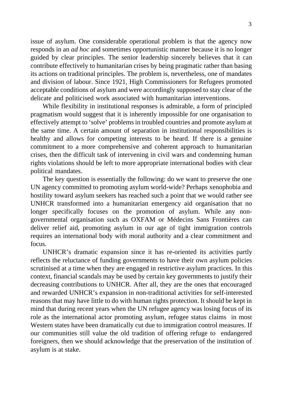issue of asylum. One considerable operational problem is that the agency now responds in an *ad hoc* and sometimes opportunistic manner because it is no longer guided by clear principles. The senior leadership sincerely believes that it can contribute effectively to humanitarian crises by being pragmatic rather than basing its actions on traditional principles. The problem is, nevertheless, one of mandates and division of labour. Since 1921, High Commissioners for Refugees promoted acceptable conditions of asylum and were accordingly supposed to stay clear of the delicate and politicised work associated with humanitarian interventions.

While flexibility in institutional responses is admirable, a form of principled pragmatism would suggest that it is inherently impossible for one organisation to effectively attempt to 'solve' problems in troubled countries and promote asylum at the same time. A certain amount of separation in institutional responsibilities is healthy and allows for competing interests to be heard. If there is a genuine commitment to a more comprehensive and coherent approach to humanitarian crises, then the difficult task of intervening in civil wars and condemning human rights violations should be left to more appropriate international bodies with clear political mandates.

The key question is essentially the following: do we want to preserve the one UN agency committed to promoting asylum world-wide? Perhaps xenophobia and hostility toward asylum seekers has reached such a point that we would rather see UNHCR transformed into a humanitarian emergency aid organisation that no longer specifically focuses on the promotion of asylum. While any nongovernmental organisation such as OXFAM or Médecins Sans Frontières can deliver relief aid, promoting asylum in our age of tight immigration controls requires an international body with moral authority and a clear commitment and focus.

UNHCR's dramatic expansion since it has re-oriented its activities partly reflects the reluctance of funding governments to have their own asylum policies scrutinised at a time when they are engaged in restrictive asylum practices. In this context, financial scandals may be used by certain key governments to justify their decreasing contributions to UNHCR. After all, they are the ones that encouraged and rewarded UNHCR's expansion in non-traditional activities for self-interested reasons that may have little to do with human rights protection. It should be kept in mind that during recent years when the UN refugee agency was losing focus of its role as the international actor promoting asylum, refugee status claims in most Western states have been dramatically cut due to immigration control measures. If our communities still value the old tradition of offering refuge to endangered foreigners, then we should acknowledge that the preservation of the institution of asylum is at stake.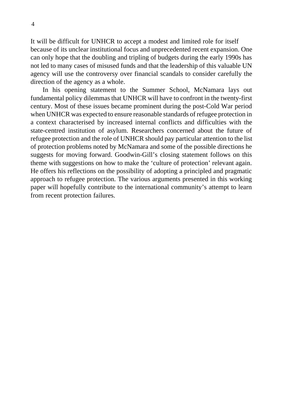It will be difficult for UNHCR to accept a modest and limited role for itself because of its unclear institutional focus and unprecedented recent expansion. One can only hope that the doubling and tripling of budgets during the early 1990s has not led to many cases of misused funds and that the leadership of this valuable UN agency will use the controversy over financial scandals to consider carefully the direction of the agency as a whole.

In his opening statement to the Summer School, McNamara lays out fundamental policy dilemmas that UNHCR will have to confront in the twenty-first century. Most of these issues became prominent during the post-Cold War period when UNHCR was expected to ensure reasonable standards of refugee protection in a context characterised by increased internal conflicts and difficulties with the state-centred institution of asylum. Researchers concerned about the future of refugee protection and the role of UNHCR should pay particular attention to the list of protection problems noted by McNamara and some of the possible directions he suggests for moving forward. Goodwin-Gill's closing statement follows on this theme with suggestions on how to make the 'culture of protection' relevant again. He offers his reflections on the possibility of adopting a principled and pragmatic approach to refugee protection. The various arguments presented in this working paper will hopefully contribute to the international community's attempt to learn from recent protection failures.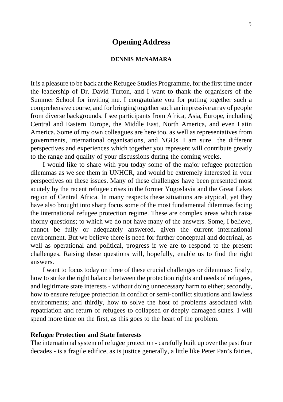### **Opening Address**

### **DENNIS McNAMARA**

It is a pleasure to be back at the Refugee Studies Programme, for the first time under the leadership of Dr. David Turton, and I want to thank the organisers of the Summer School for inviting me. I congratulate you for putting together such a comprehensive course, and for bringing together such an impressive array of people from diverse backgrounds. I see participants from Africa, Asia, Europe, including Central and Eastern Europe, the Middle East, North America, and even Latin America. Some of my own colleagues are here too, as well as representatives from governments, international organisations, and NGOs. I am sure the different perspectives and experiences which together you represent will contribute greatly to the range and quality of your discussions during the coming weeks.

I would like to share with you today some of the major refugee protection dilemmas as we see them in UNHCR, and would be extremely interested in your perspectives on these issues. Many of these challenges have been presented most acutely by the recent refugee crises in the former Yugoslavia and the Great Lakes region of Central Africa. In many respects these situations are atypical, yet they have also brought into sharp focus some of the most fundamental dilemmas facing the international refugee protection regime. These are complex areas which raise thorny questions; to which we do not have many of the answers. Some, I believe, cannot be fully or adequately answered, given the current international environment. But we believe there is need for further conceptual and doctrinal, as well as operational and political, progress if we are to respond to the present challenges. Raising these questions will, hopefully, enable us to find the right answers.

I want to focus today on three of these crucial challenges or dilemmas: firstly, how to strike the right balance between the protection rights and needs of refugees, and legitimate state interests - without doing unnecessary harm to either; secondly, how to ensure refugee protection in conflict or semi-conflict situations and lawless environments; and thirdly, how to solve the host of problems associated with repatriation and return of refugees to collapsed or deeply damaged states. I will spend more time on the first, as this goes to the heart of the problem.

### **Refugee Protection and State Interests**

The international system of refugee protection - carefully built up over the past four decades - is a fragile edifice, as is justice generally, a little like Peter Pan's fairies,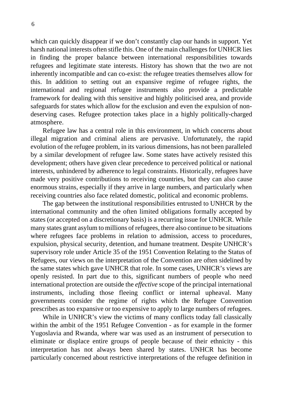which can quickly disappear if we don't constantly clap our hands in support. Yet harsh national interests often stifle this. One of the main challenges for UNHCR lies in finding the proper balance between international responsibilities towards refugees and legitimate state interests. History has shown that the two are not inherently incompatible and can co-exist: the refugee treaties themselves allow for this. In addition to setting out an expansive regime of refugee rights, the international and regional refugee instruments also provide a predictable framework for dealing with this sensitive and highly politicised area, and provide safeguards for states which allow for the exclusion and even the expulsion of nondeserving cases. Refugee protection takes place in a highly politically-charged atmosphere.

Refugee law has a central role in this environment, in which concerns about illegal migration and criminal aliens are pervasive. Unfortunately, the rapid evolution of the refugee problem, in its various dimensions, has not been paralleled by a similar development of refugee law. Some states have actively resisted this development; others have given clear precedence to perceived political or national interests, unhindered by adherence to legal constraints. Historically, refugees have made very positive contributions to receiving countries, but they can also cause enormous strains, especially if they arrive in large numbers, and particularly when receiving countries also face related domestic, political and economic problems.

The gap between the institutional responsibilities entrusted to UNHCR by the international community and the often limited obligations formally accepted by states (or accepted on a discretionary basis) is a recurring issue for UNHCR. While many states grant asylum to millions of refugees, there also continue to be situations where refugees face problems in relation to admission, access to procedures, expulsion, physical security, detention, and humane treatment. Despite UNHCR's supervisory role under Article 35 of the 1951 Convention Relating to the Status of Refugees, our views on the interpretation of the Convention are often sidelined by the same states which gave UNHCR that role. In some cases, UNHCR's views are openly resisted. In part due to this, significant numbers of people who need international protection are outside the *effective* scope of the principal international instruments, including those fleeing conflict or internal upheaval. Many governments consider the regime of rights which the Refugee Convention prescribes as too expansive or too expensive to apply to large numbers of refugees.

While in UNHCR's view the victims of many conflicts today fall classically within the ambit of the 1951 Refugee Convention - as for example in the former Yugoslavia and Rwanda, where war was used as an instrument of persecution to eliminate or displace entire groups of people because of their ethnicity - this interpretation has not always been shared by states. UNHCR has become particularly concerned about restrictive interpretations of the refugee definition in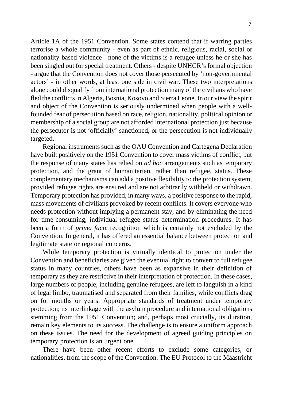Article 1A of the 1951 Convention. Some states contend that if warring parties terrorise a whole community - even as part of ethnic, religious, racial, social or nationality-based violence - none of the victims is a refugee unless he or she has been singled out for special treatment. Others - despite UNHCR's formal objection - argue that the Convention does not cover those persecuted by 'non-governmental actors' - in other words, at least one side in civil war. These two interpretations alone could disqualify from international protection many of the civilians who have fled the conflicts in Algeria, Bosnia, Kosovo and Sierra Leone. In our view the spirit and object of the Convention is seriously undermined when people with a wellfounded fear of persecution based on race, religion, nationality, political opinion or membership of a social group are not afforded international protection just because the persecutor is not 'officially' sanctioned, or the persecution is not individually targeted.

Regional instruments such as the OAU Convention and Cartegena Declaration have built positively on the 1951 Convention to cover mass victims of conflict, but the response of many states has relied on *ad hoc* arrangements such as temporary protection, and the grant of humanitarian, rather than refugee, status. These complementary mechanisms can add a positive flexibility to the protection system, provided refugee rights are ensured and are not arbitrarily withheld or withdrawn. Temporary protection has provided, in many ways, a positive response to the rapid, mass movements of civilians provoked by recent conflicts. It covers everyone who needs protection without implying a permanent stay, and by eliminating the need for time-consuming, individual refugee status determination procedures. It has been a form of *prima facie* recognition which is certainly not excluded by the Convention. In general, it has offered an essential balance between protection and legitimate state or regional concerns.

While temporary protection is virtually identical to protection under the Convention and beneficiaries are given the eventual right to convert to full refugee status in many countries, others have been as expansive in their definition of temporary as they are restrictive in their interpretation of protection. In these cases, large numbers of people, including genuine refugees, are left to languish in a kind of legal limbo, traumatised and separated from their families, while conflicts drag on for months or years. Appropriate standards of treatment under temporary protection; its interlinkage with the asylum procedure and international obligations stemming from the 1951 Convention; and, perhaps most crucially, its duration, remain key elements to its success. The challenge is to ensure a uniform approach on these issues. The need for the development of agreed guiding principles on temporary protection is an urgent one.

There have been other recent efforts to exclude some categories, or nationalities, from the scope of the Convention. The EU Protocol to the Maastricht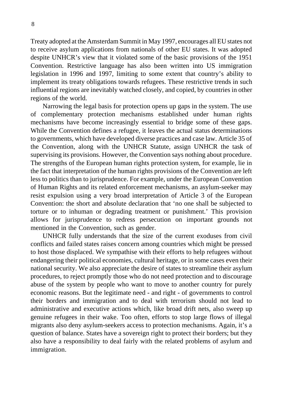Treaty adopted at the Amsterdam Summit in May 1997, encourages all EU states not to receive asylum applications from nationals of other EU states. It was adopted despite UNHCR's view that it violated some of the basic provisions of the 1951 Convention. Restrictive language has also been written into US immigration legislation in 1996 and 1997, limiting to some extent that country's ability to implement its treaty obligations towards refugees. These restrictive trends in such influential regions are inevitably watched closely, and copied, by countries in other regions of the world.

Narrowing the legal basis for protection opens up gaps in the system. The use of complementary protection mechanisms established under human rights mechanisms have become increasingly essential to bridge some of these gaps. While the Convention defines a refugee, it leaves the actual status determinations to governments, which have developed diverse practices and case law. Article 35 of the Convention, along with the UNHCR Statute, assign UNHCR the task of supervising its provisions. However, the Convention says nothing about procedure. The strengths of the European human rights protection system, for example, lie in the fact that interpretation of the human rights provisions of the Convention are left less to politics than to jurisprudence. For example, under the European Convention of Human Rights and its related enforcement mechanisms, an asylum-seeker may resist expulsion using a very broad interpretation of Article 3 of the European Convention: the short and absolute declaration that 'no one shall be subjected to torture or to inhuman or degrading treatment or punishment.' This provision allows for jurisprudence to redress persecution on important grounds not mentioned in the Convention, such as gender.

UNHCR fully understands that the size of the current exoduses from civil conflicts and failed states raises concern among countries which might be pressed to host those displaced. We sympathise with their efforts to help refugees without endangering their political economies, cultural heritage, or in some cases even their national security. We also appreciate the desire of states to streamline their asylum procedures, to reject promptly those who do not need protection and to discourage abuse of the system by people who want to move to another country for purely economic reasons. But the legitimate need - and right - of governments to control their borders and immigration and to deal with terrorism should not lead to administrative and executive actions which, like broad drift nets, also sweep up genuine refugees in their wake. Too often, efforts to stop large flows of illegal migrants also deny asylum-seekers access to protection mechanisms. Again, it's a question of balance. States have a sovereign right to protect their borders; but they also have a responsibility to deal fairly with the related problems of asylum and immigration.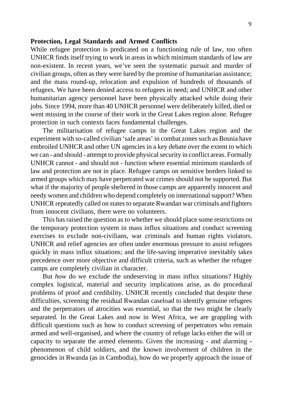### **Protection, Legal Standards and Armed Conflicts**

While refugee protection is predicated on a functioning rule of law, too often UNHCR finds itself trying to work in areas in which minimum standards of law are non-existent. In recent years, we've seen the systematic pursuit and murder of civilian groups, often as they were lured by the promise of humanitarian assistance; and the mass round-up, relocation and expulsion of hundreds of thousands of refugees. We have been denied access to refugees in need; and UNHCR and other humanitarian agency personnel have been physically attacked while doing their jobs. Since 1994, more than 40 UNHCR personnel were deliberately killed, died or went missing in the course of their work in the Great Lakes region alone. Refugee protection in such contexts faces fundamental challenges.

The militarisation of refugee camps in the Great Lakes region and the experiment with so-called civilian 'safe areas' in combat zones such as Bosnia have embroiled UNHCR and other UN agencies in a key debate over the extent to which we can - and should - attempt to provide physical security in conflict areas. Formally UNHCR cannot - and should not - function where essential minimum standards of law and protection are not in place. Refugee camps on sensitive borders linked to armed groups which may have perpetrated war crimes should not be supported. But what if the majority of people sheltered in those camps are apparently innocent and needy women and children who depend completely on international support? When UNHCR repeatedly called on states to separate Rwandan war criminals and fighters from innocent civilians, there were no volunteers.

This has raised the question as to whether we should place some restrictions on the temporary protection system in mass influx situations and conduct screening exercises to exclude non-civilians, war criminals and human rights violators. UNHCR and relief agencies are often under enormous pressure to assist refugees quickly in mass influx situations; and the life-saving imperative inevitably takes precedence over more objective and difficult criteria, such as whether the refugee camps are completely civilian in character.

But *how* do we exclude the undeserving in mass influx situations? Highly complex logistical, material and security implications arise, as do procedural problems of proof and credibility. UNHCR recently concluded that despite these difficulties, screening the residual Rwandan caseload to identify genuine refugees and the perpetrators of atrocities was essential, so that the two might be clearly separated. In the Great Lakes and now in West Africa, we are grappling with difficult questions such as how to conduct screening of perpetrators who remain armed and well-organised, and where the country of refuge lacks either the will or capacity to separate the armed elements. Given the increasing - and alarming phenomenon of child soldiers, and the known involvement of children in the genocides in Rwanda (as in Cambodia), how do we properly approach the issue of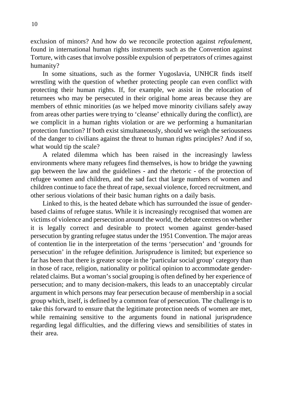exclusion of minors? And how do we reconcile protection against *refoulement*, found in international human rights instruments such as the Convention against Torture, with cases that involve possible expulsion of perpetrators of crimes against humanity?

In some situations, such as the former Yugoslavia, UNHCR finds itself wrestling with the question of whether protecting people can even conflict with protecting their human rights. If, for example, we assist in the relocation of returnees who may be persecuted in their original home areas because they are members of ethnic minorities (as we helped move minority civilians safely away from areas other parties were trying to 'cleanse' ethnically during the conflict), are we complicit in a human rights violation or are we performing a humanitarian protection function? If both exist simultaneously, should we weigh the seriousness of the danger to civilians against the threat to human rights principles? And if so, what would tip the scale?

A related dilemma which has been raised in the increasingly lawless environments where many refugees find themselves, is how to bridge the yawning gap between the law and the guidelines - and the rhetoric - of the protection of refugee women and children, and the sad fact that large numbers of women and children continue to face the threat of rape, sexual violence, forced recruitment, and other serious violations of their basic human rights on a daily basis.

Linked to this, is the heated debate which has surrounded the issue of genderbased claims of refugee status. While it is increasingly recognised that women are victims of violence and persecution around the world, the debate centres on whether it is legally correct and desirable to protect women against gender-based persecution by granting refugee status under the 1951 Convention. The major areas of contention lie in the interpretation of the terms 'persecution' and 'grounds for persecution' in the refugee definition. Jurisprudence is limited; but experience so far has been that there is greater scope in the 'particular social group' category than in those of race, religion, nationality or political opinion to accommodate genderrelated claims. But a woman's social grouping is often defined by her experience of persecution; and to many decision-makers, this leads to an unacceptably circular argument in which persons may fear persecution because of membership in a social group which, itself, is defined by a common fear of persecution. The challenge is to take this forward to ensure that the legitimate protection needs of women are met, while remaining sensitive to the arguments found in national jurisprudence regarding legal difficulties, and the differing views and sensibilities of states in their area.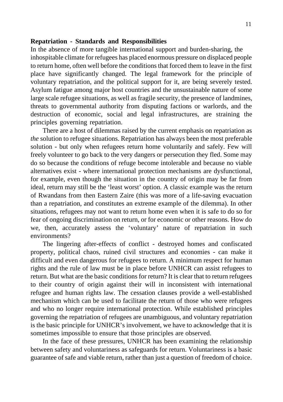### **Repatriation - Standards and Responsibilities**

In the absence of more tangible international support and burden-sharing, the inhospitable climate for refugees has placed enormous pressure on displaced people to return home, often well before the conditions that forced them to leave in the first place have significantly changed. The legal framework for the principle of voluntary repatriation, and the political support for it, are being severely tested. Asylum fatigue among major host countries and the unsustainable nature of some large scale refugee situations, as well as fragile security, the presence of landmines, threats to governmental authority from disputing factions or warlords, and the destruction of economic, social and legal infrastructures, are straining the principles governing repatriation.

There are a host of dilemmas raised by the current emphasis on repatriation as *the* solution to refugee situations. Repatriation has always been the most preferable solution - but only when refugees return home voluntarily and safely. Few will freely volunteer to go back to the very dangers or persecution they fled. Some may do so because the conditions of refuge become intolerable and because no viable alternatives exist - where international protection mechanisms are dysfunctional, for example, even though the situation in the country of origin may be far from ideal, return may still be the 'least worst' option. A classic example was the return of Rwandans from then Eastern Zaire (this was more of a life-saving evacuation than a repatriation, and constitutes an extreme example of the dilemma). In other situations, refugees may not want to return home even when it is safe to do so for fear of ongoing discrimination on return, or for economic or other reasons. How do we, then, accurately assess the 'voluntary' nature of repatriation in such environments?

The lingering after-effects of conflict - destroyed homes and confiscated property, political chaos, ruined civil structures and economies - can make it difficult and even dangerous for refugees to return. A minimum respect for human rights and the rule of law must be in place before UNHCR can assist refugees to return. But what are the basic conditions for return? It is clear that to return refugees to their country of origin against their will in inconsistent with international refugee and human rights law. The cessation clauses provide a well-established mechanism which can be used to facilitate the return of those who were refugees and who no longer require international protection. While established principles governing the repatriation of refugees are unambiguous, and voluntary repatriation is the basic principle for UNHCR's involvement, we have to acknowledge that it is sometimes impossible to ensure that those principles are observed.

In the face of these pressures, UNHCR has been examining the relationship between safety and voluntariness as safeguards for return. Voluntariness is a basic guarantee of safe and viable return, rather than just a question of freedom of choice.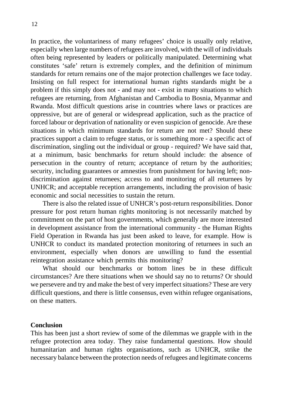In practice, the voluntariness of many refugees' choice is usually only relative, especially when large numbers of refugees are involved, with the will of individuals often being represented by leaders or politically manipulated. Determining what constitutes 'safe' return is extremely complex, and the definition of minimum standards for return remains one of the major protection challenges we face today. Insisting on full respect for international human rights standards might be a problem if this simply does not - and may not - exist in many situations to which refugees are returning, from Afghanistan and Cambodia to Bosnia, Myanmar and Rwanda. Most difficult questions arise in countries where laws or practices are oppressive, but are of general or widespread application, such as the practice of forced labour or deprivation of nationality or even suspicion of genocide. Are these situations in which minimum standards for return are not met? Should these practices support a claim to refugee status, or is something more - a specific act of discrimination, singling out the individual or group - required? We have said that, at a minimum, basic benchmarks for return should include: the absence of persecution in the country of return; acceptance of return by the authorities; security, including guarantees or amnesties from punishment for having left; nondiscrimination against returnees; access to and monitoring of all returnees by UNHCR; and acceptable reception arrangements, including the provision of basic economic and social necessities to sustain the return.

There is also the related issue of UNHCR's post-return responsibilities. Donor pressure for post return human rights monitoring is not necessarily matched by commitment on the part of host governments, which generally are more interested in development assistance from the international community - the Human Rights Field Operation in Rwanda has just been asked to leave, for example. How is UNHCR to conduct its mandated protection monitoring of returnees in such an environment, especially when donors are unwilling to fund the essential reintegration assistance which permits this monitoring?

What should our benchmarks or bottom lines be in these difficult circumstances? Are there situations when we should say no to returns? Or should we persevere and try and make the best of very imperfect situations? These are very difficult questions, and there is little consensus, even within refugee organisations, on these matters.

### **Conclusion**

This has been just a short review of some of the dilemmas we grapple with in the refugee protection area today. They raise fundamental questions. How should humanitarian and human rights organisations, such as UNHCR, strike the necessary balance between the protection needs of refugees and legitimate concerns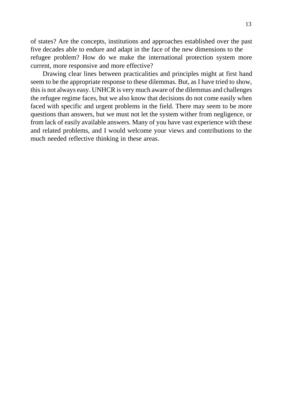of states? Are the concepts, institutions and approaches established over the past five decades able to endure and adapt in the face of the new dimensions to the refugee problem? How do we make the international protection system more current, more responsive and more effective?

Drawing clear lines between practicalities and principles might at first hand seem to be the appropriate response to these dilemmas. But, as I have tried to show, this is not always easy. UNHCR is very much aware of the dilemmas and challenges the refugee regime faces, but we also know that decisions do not come easily when faced with specific and urgent problems in the field. There may seem to be more questions than answers, but we must not let the system wither from negligence, or from lack of easily available answers. Many of you have vast experience with these and related problems, and I would welcome your views and contributions to the much needed reflective thinking in these areas.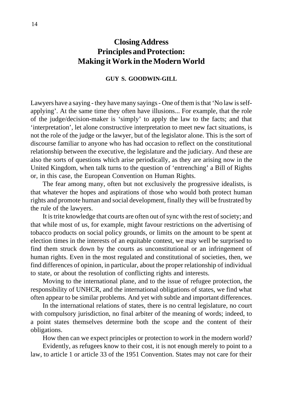# **Closing Address Principles and Protection: Making it Work in the Modern World**

### **GUY S. GOODWIN-GILL**

Lawyers have a saying - they have many sayings - One of them is that 'No law is selfapplying'. At the same time they often have illusions... For example, that the role of the judge/decision-maker is 'simply' to apply the law to the facts; and that 'interpretation', let alone constructive interpretation to meet new fact situations, is not the role of the judge or the lawyer, but of the legislator alone. This is the sort of discourse familiar to anyone who has had occasion to reflect on the constitutional relationship between the executive, the legislature and the judiciary. And these are also the sorts of questions which arise periodically, as they are arising now in the United Kingdom, when talk turns to the question of 'entrenching' a Bill of Rights or, in this case, the European Convention on Human Rights.

The fear among many, often but not exclusively the progressive idealists, is that whatever the hopes and aspirations of those who would both protect human rights and promote human and social development, finally they will be frustrated by the rule of the lawyers.

It is trite knowledge that courts are often out of sync with the rest of society; and that while most of us, for example, might favour restrictions on the advertising of tobacco products on social policy grounds, or limits on the amount to be spent at election times in the interests of an equitable contest, we may well be surprised to find them struck down by the courts as unconstitutional or an infringement of human rights. Even in the most regulated and constitutional of societies, then, we find differences of opinion, in particular, about the proper relationship of individual to state, or about the resolution of conflicting rights and interests.

Moving to the international plane, and to the issue of refugee protection, the responsibility of UNHCR, and the international obligations of states, we find what often appear to be similar problems. And yet with subtle and important differences.

In the international relations of states, there is no central legislature, no court with compulsory jurisdiction, no final arbiter of the meaning of words; indeed, to a point states themselves determine both the scope and the content of their obligations.

How then can we expect principles or protection to *work* in the modern world?

Evidently, as refugees know to their cost, it is not enough merely to point to a law, to article 1 or article 33 of the 1951 Convention. States may not care for their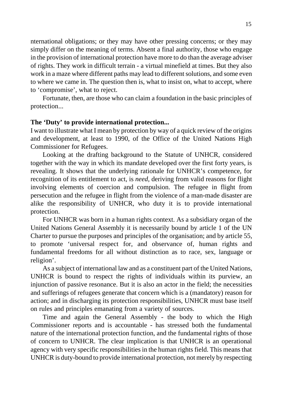nternational obligations; or they may have other pressing concerns; or they may simply differ on the meaning of terms. Absent a final authority, those who engage in the provision of international protection have more to do than the average adviser of rights. They work in difficult terrain - a virtual minefield at times. But they also work in a maze where different paths may lead to different solutions, and some even to where we came in. The question then is, what to insist on, what to accept, where to 'compromise', what to reject.

Fortunate, then, are those who can claim a foundation in the basic principles of protection...

### **The 'Duty' to provide international protection...**

I want to illustrate what I mean by protection by way of a quick review of the origins and development, at least to 1990, of the Office of the United Nations High Commissioner for Refugees.

Looking at the drafting background to the Statute of UNHCR, considered together with the way in which its mandate developed over the first forty years, is revealing. It shows that the underlying rationale for UNHCR's competence, for recognition of its entitlement to act, is *need*, deriving from valid reasons for flight involving elements of coercion and compulsion. The refugee in flight from persecution and the refugee in flight from the violence of a man-made disaster are alike the responsibility of UNHCR, who duty it is to provide international protection.

For UNHCR was born in a human rights context. As a subsidiary organ of the United Nations General Assembly it is necessarily bound by article 1 of the UN Charter to pursue the purposes and principles of the organisation; and by article 55, to promote 'universal respect for, and observance of, human rights and fundamental freedoms for all without distinction as to race, sex, language or religion'.

As a subject of international law and as a constituent part of the United Nations, UNHCR is bound to respect the rights of individuals within its purview, an injunction of passive resonance. But it is also an actor in the field; the necessities and sufferings of refugees generate that concern which is a (mandatory) reason for action; and in discharging its protection responsibilities, UNHCR must base itself on rules and principles emanating from a variety of sources.

Time and again the General Assembly - the body to which the High Commissioner reports and is accountable - has stressed both the fundamental nature of the international protection function, and the fundamental rights of those of concern to UNHCR. The clear implication is that UNHCR is an operational agency with very specific responsibilities in the human rights field. This means that UNHCR is duty-bound to provide international protection, not merely by respecting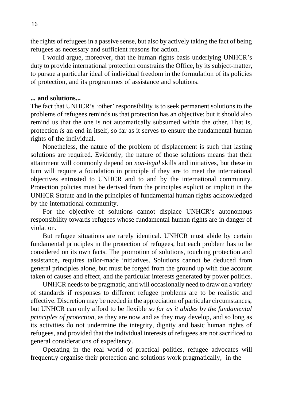the rights of refugees in a passive sense, but also by actively taking the fact of being refugees as necessary and sufficient reasons for action.

I would argue, moreover, that the human rights basis underlying UNHCR's duty to provide international protection constrains the Office, by its subject-matter, to pursue a particular ideal of individual freedom in the formulation of its policies of protection, and its programmes of assistance and solutions.

### **... and solutions...**

The fact that UNHCR's 'other' responsibility is to seek permanent solutions to the problems of refugees reminds us that protection has an objective; but it should also remind us that the one is not automatically subsumed within the other. That is, protection *is* an end in itself, so far as it serves to ensure the fundamental human rights of the individual.

Nonetheless, the nature of the problem of displacement is such that lasting solutions are required. Evidently, the nature of those solutions means that their attainment will commonly depend on *non-legal* skills and initiatives, but these in turn will require a foundation in principle if they are to meet the international objectives entrusted to UNHCR and to and by the international community. Protection policies must be derived from the principles explicit or implicit in the UNHCR Statute and in the principles of fundamental human rights acknowledged by the international community.

For the objective of solutions cannot displace UNHCR's autonomous responsibility towards refugees whose fundamental human rights are in danger of violation.

But refugee situations are rarely identical. UNHCR must abide by certain fundamental principles in the protection of refugees, but each problem has to be considered on its own facts. The promotion of solutions, touching protection and assistance, requires tailor-made initiatives. Solutions cannot be deduced from general principles alone, but must be forged from the ground up with due account taken of causes and effect, and the particular interests generated by power politics.

UNHCR needs to be pragmatic, and will occasionally need to draw on a variety of standards if responses to different refugee problems are to be realistic and effective. Discretion may be needed in the appreciation of particular circumstances, but UNHCR can only afford to be flexible *so far as it abides by the fundamental principles of protection*, as they are now and as they may develop, and so long as its activities do not undermine the integrity, dignity and basic human rights of refugees, and provided that the individual interests of refugees are not sacrificed to general considerations of expediency.

Operating in the real world of practical politics, refugee advocates will frequently organise their protection and solutions work pragmatically, in the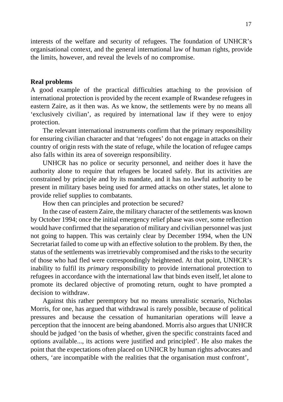interests of the welfare and security of refugees. The foundation of UNHCR's organisational context, and the general international law of human rights, provide the limits, however, and reveal the levels of no compromise.

### **Real problems**

A good example of the practical difficulties attaching to the provision of international protection is provided by the recent example of Rwandese refugees in eastern Zaire, as it then was. As we know, the settlements were by no means all 'exclusively civilian', as required by international law if they were to enjoy protection.

The relevant international instruments confirm that the primary responsibility for ensuring civilian character and that 'refugees' do not engage in attacks on their country of origin rests with the state of refuge, while the location of refugee camps also falls within its area of sovereign responsibility.

UNHCR has no police or security personnel, and neither does it have the authority alone to require that refugees be located safely. But its activities are constrained by principle and by its mandate, and it has no lawful authority to be present in military bases being used for armed attacks on other states, let alone to provide relief supplies to combatants.

How then can principles and protection be secured?

In the case of eastern Zaire, the military character of the settlements was known by October 1994; once the initial emergency relief phase was over, some reflection would have confirmed that the separation of military and civilian personnel was just not going to happen. This was certainly clear by December 1994, when the UN Secretariat failed to come up with an effective solution to the problem. By then, the status of the settlements was irretrievably compromised and the risks to the security of those who had fled were correspondingly heightened. At that point, UNHCR's inability to fulfil its *primary* responsibility to provide international protection to refugees in accordance with the international law that binds even itself, let alone to promote its declared objective of promoting return, ought to have prompted a decision to withdraw.

Against this rather peremptory but no means unrealistic scenario, Nicholas Morris, for one, has argued that withdrawal is rarely possible, because of political pressures and because the cessation of humanitarian operations will leave a perception that the innocent are being abandoned. Morris also argues that UNHCR should be judged 'on the basis of whether, given the specific constraints faced and options available..., its actions were justified and principled'. He also makes the point that the expectations often placed on UNHCR by human rights advocates and others, 'are incompatible with the realities that the organisation must confront',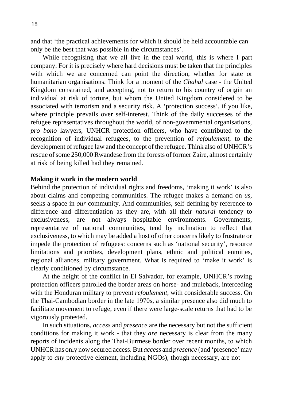and that 'the practical achievements for which it should be held accountable can only be the best that was possible in the circumstances'.

While recognising that we all live in the real world, this is where I part company. For it is precisely where hard decisions must be taken that the principles with which we are concerned can point the direction, whether for state or humanitarian organisations. Think for a moment of the *Chahal* case - the United Kingdom constrained, and accepting, not to return to his country of origin an individual at risk of torture, but whom the United Kingdom considered to be associated with terrorism and a security risk. A 'protection success', if you like, where principle prevails over self-interest. Think of the daily successes of the refugee representatives throughout the world, of non-governmental organisations, *pro bono* lawyers, UNHCR protection officers, who have contributed to the recognition of individual refugees, to the prevention of *refoulement*, to the development of refugee law and the concept of the refugee. Think also of UNHCR's rescue of some 250,000 Rwandese from the forests of former Zaire, almost certainly at risk of being killed had they remained.

### **Making it work in the modern world**

Behind the protection of individual rights and freedoms, 'making it work' is also about claims and competing communities. The refugee makes a demand on *us*, seeks a space in *our* community. And communities, self-defining by reference to difference and differentiation as they are, with all their *natural* tendency to exclusiveness, are not always hospitable environments. Governments, representative of national communities, tend by inclination to reflect that exclusiveness, to which may be added a host of other concerns likely to frustrate or impede the protection of refugees: concerns such as 'national security', resource limitations and priorities, development plans, ethnic and political enmities, regional alliances, military government. What is required to 'make it work' is clearly conditioned by circumstance.

At the height of the conflict in El Salvador, for example, UNHCR's roving protection officers patrolled the border areas on horse- and muleback, interceding with the Honduran military to prevent *refoulement*, with considerable success. On the Thai-Cambodian border in the late 1970s, a similar presence also did much to facilitate movement to refuge, even if there were large-scale returns that had to be vigorously protested.

In such situations, *access* and *presence* are the necessary but not the sufficient conditions for making it work - that they *are* necessary is clear from the many reports of incidents along the Thai-Burmese border over recent months, to which UNHCR has only now secured access. But *access* and *presence* (and 'presence' may apply to *any* protective element, including NGOs), though necessary, are not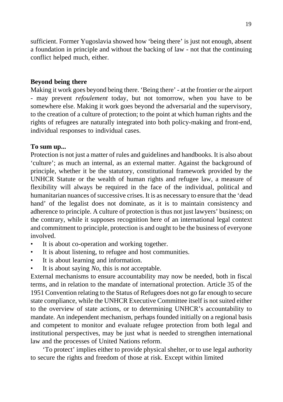sufficient. Former Yugoslavia showed how 'being there' is just not enough, absent a foundation in principle and without the backing of law - not that the continuing conflict helped much, either.

### **Beyond being there**

Making it work goes beyond being there. 'Being there' - at the frontier or the airport - may prevent *refoulement* today, but not tomorrow, when you have to be somewhere else. Making it work goes beyond the adversarial and the supervisory, to the creation of a culture of protection; to the point at which human rights and the rights of refugees are naturally integrated into both policy-making and front-end, individual responses to individual cases.

### **To sum up...**

Protection is not just a matter of rules and guidelines and handbooks. It is also about 'culture'; as much an internal, as an external matter. Against the background of principle, whether it be the statutory, constitutional framework provided by the UNHCR Statute or the wealth of human rights and refugee law, a measure of flexibility will always be required in the face of the individual, political and humanitarian nuances of successive crises. It is as necessary to ensure that the 'dead hand' of the legalist does not dominate, as it is to maintain consistency and adherence to principle. A culture of protection is thus not just lawyers' business; on the contrary, while it supposes recognition here of an international legal context and commitment to principle, protection is and ought to be the business of everyone involved.

- It is about co-operation and working together.
- It is about listening, to refugee and host communities.
- It is about learning and information.
- It is about saying *No*, this is *not* acceptable.

External mechanisms to ensure accountability may now be needed, both in fiscal terms, and in relation to the mandate of international protection. Article 35 of the 1951 Convention relating to the Status of Refugees does not go far enough to secure state compliance, while the UNHCR Executive Committee itself is not suited either to the overview of state actions, or to determining UNHCR's accountability to mandate. An independent mechanism, perhaps founded initially on a regional basis and competent to monitor and evaluate refugee protection from both legal and institutional perspectives, may be just what is needed to strengthen international law and the processes of United Nations reform.

'To protect' implies either to provide physical shelter, or to use legal authority to secure the rights and freedom of those at risk. Except within limited